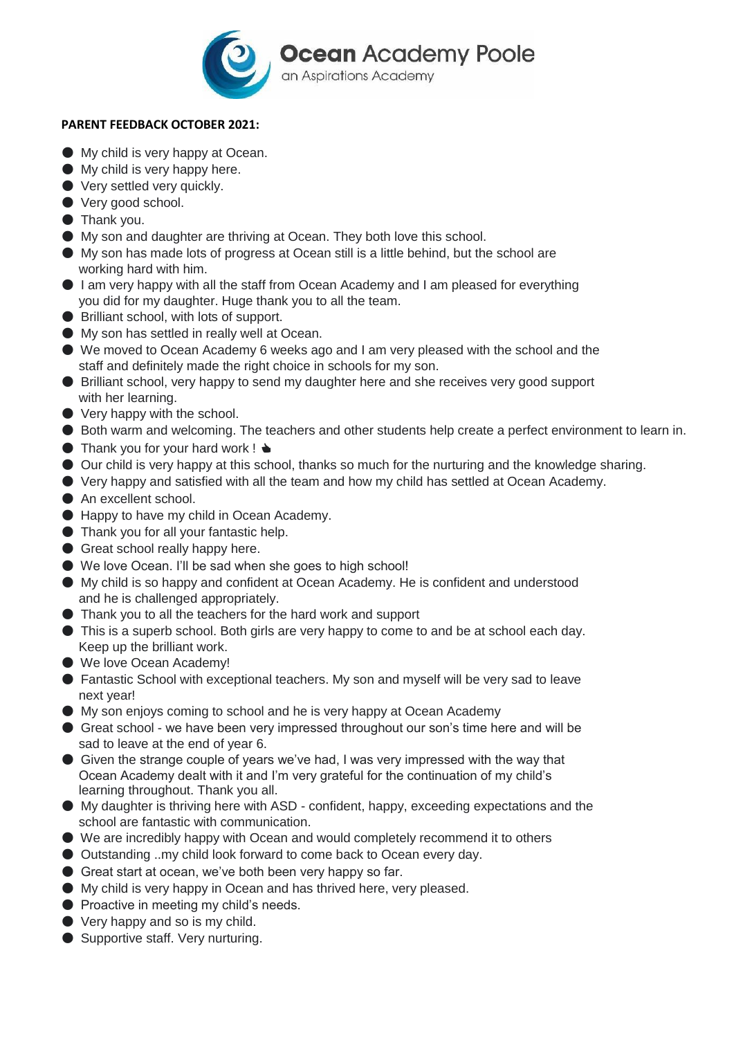

## **PARENT FEEDBACK OCTOBER 2021:**

- My child is very happy at Ocean.
- My child is very happy here.
- Very settled very quickly.
- Very good school.
- Thank you.
- My son and daughter are thriving at Ocean. They both love this school.
- My son has made lots of progress at Ocean still is a little behind, but the school are working hard with him.
- I am very happy with all the staff from Ocean Academy and I am pleased for everything you did for my daughter. Huge thank you to all the team.
- Brilliant school, with lots of support.
- My son has settled in really well at Ocean.
- We moved to Ocean Academy 6 weeks ago and I am very pleased with the school and the staff and definitely made the right choice in schools for my son.
- Brilliant school, very happy to send my daughter here and she receives very good support with her learning.
- $\bullet$  Very happy with the school.
- Both warm and welcoming. The teachers and other students help create a perfect environment to learn in.
- $\bullet$  Thank you for your hard work !  $\bullet$
- Our child is very happy at this school, thanks so much for the nurturing and the knowledge sharing.
- Very happy and satisfied with all the team and how my child has settled at Ocean Academy.
- An excellent school.
- Happy to have my child in Ocean Academy.
- Thank you for all your fantastic help.
- Great school really happy here.
- We love Ocean. I'll be sad when she goes to high school!
- My child is so happy and confident at Ocean Academy. He is confident and understood and he is challenged appropriately.
- Thank you to all the teachers for the hard work and support
- This is a superb school. Both girls are very happy to come to and be at school each day. Keep up the brilliant work.
- We love Ocean Academy!
- Fantastic School with exceptional teachers. My son and myself will be very sad to leave next year!
- My son enjoys coming to school and he is very happy at Ocean Academy
- Great school we have been very impressed throughout our son's time here and will be sad to leave at the end of year 6.
- Given the strange couple of years we've had, I was very impressed with the way that Ocean Academy dealt with it and I'm very grateful for the continuation of my child's learning throughout. Thank you all.
- My daughter is thriving here with ASD confident, happy, exceeding expectations and the school are fantastic with communication.
- We are incredibly happy with Ocean and would completely recommend it to others
- Outstanding ..my child look forward to come back to Ocean every day.
- Great start at ocean, we've both been very happy so far.
- My child is very happy in Ocean and has thrived here, very pleased.
- Proactive in meeting my child's needs.
- Very happy and so is my child.
- Supportive staff. Very nurturing.